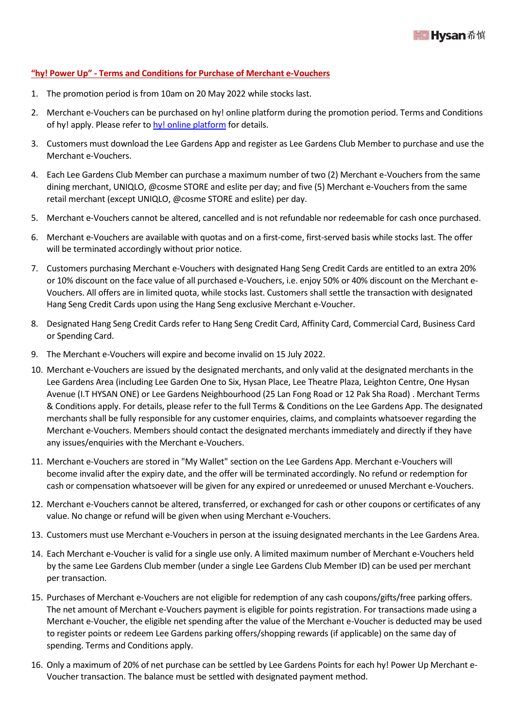

## **"hy! Power Up" - Terms and Conditions for Purchase of Merchant e-Vouchers**

- 1. The promotion period is from 10am on 20 May 2022 while stocks last.
- 2. Merchant e-Vouchers can be purchased on hy! online platform during the promotion period. Terms and Conditions of hy! apply. Please refer t[o hy! online platform](https://bit.ly/PowerUpW) for details.
- 3. Customers must download the Lee Gardens App and register as Lee Gardens Club Member to purchase and use the Merchant e-Vouchers.
- 4. Each Lee Gardens Club Member can purchase a maximum number of two (2) Merchant e-Vouchers from the same dining merchant, UNIQLO, @cosme STORE and eslite per day; and five (5) Merchant e-Vouchers from the same retail merchant (except UNIQLO, @cosme STORE and eslite) per day.
- 5. Merchant e-Vouchers cannot be altered, cancelled and is not refundable nor redeemable for cash once purchased.
- 6. Merchant e-Vouchers are available with quotas and on a first-come, first-served basis while stocks last. The offer will be terminated accordingly without prior notice.
- 7. Customers purchasing Merchant e-Vouchers with designated Hang Seng Credit Cards are entitled to an extra 20% or 10% discount on the face value of all purchased e-Vouchers, i.e. enjoy 50% or 40% discount on the Merchant e-Vouchers. All offers are in limited quota, while stocks last. Customers shall settle the transaction with designated Hang Seng Credit Cards upon using the Hang Seng exclusive Merchant e-Voucher.
- 8. Designated Hang Seng Credit Cards refer to Hang Seng Credit Card, Affinity Card, Commercial Card, Business Card or Spending Card.
- 9. The Merchant e-Vouchers will expire and become invalid on 15 July 2022.
- 10. Merchant e-Vouchers are issued by the designated merchants, and only valid at the designated merchants in the Lee Gardens Area (including Lee Garden One to Six, Hysan Place, Lee Theatre Plaza, Leighton Centre, One Hysan Avenue (I.T HYSAN ONE) or Lee Gardens Neighbourhood (25 Lan Fong Road or 12 Pak Sha Road) . Merchant Terms & Conditions apply. For details, please refer to the full Terms & Conditions on the Lee Gardens App. The designated merchants shall be fully responsible for any customer enquiries, claims, and complaints whatsoever regarding the Merchant e-Vouchers. Members should contact the designated merchants immediately and directly if they have any issues/enquiries with the Merchant e-Vouchers.
- 11. Merchant e-Vouchers are stored in "My Wallet" section on the Lee Gardens App. Merchant e-Vouchers will become invalid after the expiry date, and the offer will be terminated accordingly. No refund or redemption for cash or compensation whatsoever will be given for any expired or unredeemed or unused Merchant e-Vouchers.
- 12. Merchant e-Vouchers cannot be altered, transferred, or exchanged for cash or other coupons or certificates of any value. No change or refund will be given when using Merchant e-Vouchers.
- 13. Customers must use Merchant e-Vouchers in person at the issuing designated merchants in the Lee Gardens Area.
- 14. Each Merchant e-Voucher is valid for a single use only. A limited maximum number of Merchant e-Vouchers held by the same Lee Gardens Club member (under a single Lee Gardens Club Member ID) can be used per merchant per transaction.
- 15. Purchases of Merchant e-Vouchers are not eligible for redemption of any cash coupons/gifts/free parking offers. The net amount of Merchant e-Vouchers payment is eligible for points registration. For transactions made using a Merchant e-Voucher, the eligible net spending after the value of the Merchant e-Voucher is deducted may be used to register points or redeem Lee Gardens parking offers/shopping rewards (if applicable) on the same day of spending. Terms and Conditions apply.
- 16. Only a maximum of 20% of net purchase can be settled by Lee Gardens Points for each hy! Power Up Merchant e-Voucher transaction. The balance must be settled with designated payment method.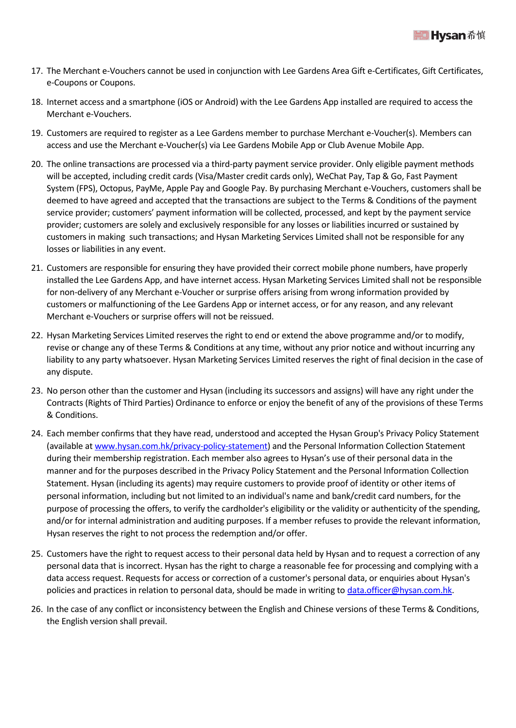- 17. The Merchant e-Vouchers cannot be used in conjunction with Lee Gardens Area Gift e-Certificates, Gift Certificates, e-Coupons or Coupons.
- 18. Internet access and a smartphone (iOS or Android) with the Lee Gardens App installed are required to access the Merchant e-Vouchers.
- 19. Customers are required to register as a Lee Gardens member to purchase Merchant e-Voucher(s). Members can access and use the Merchant e-Voucher(s) via Lee Gardens Mobile App or Club Avenue Mobile App.
- 20. The online transactions are processed via a third-party payment service provider. Only eligible payment methods will be accepted, including credit cards (Visa/Master credit cards only), WeChat Pay, Tap & Go, Fast Payment System (FPS), Octopus, PayMe, Apple Pay and Google Pay. By purchasing Merchant e-Vouchers, customers shall be deemed to have agreed and accepted that the transactions are subject to the Terms & Conditions of the payment service provider; customers' payment information will be collected, processed, and kept by the payment service provider; customers are solely and exclusively responsible for any losses or liabilities incurred or sustained by customers in making such transactions; and Hysan Marketing Services Limited shall not be responsible for any losses or liabilities in any event.
- 21. Customers are responsible for ensuring they have provided their correct mobile phone numbers, have properly installed the Lee Gardens App, and have internet access. Hysan Marketing Services Limited shall not be responsible for non-delivery of any Merchant e-Voucher or surprise offers arising from wrong information provided by customers or malfunctioning of the Lee Gardens App or internet access, or for any reason, and any relevant Merchant e-Vouchers or surprise offers will not be reissued.
- 22. Hysan Marketing Services Limited reserves the right to end or extend the above programme and/or to modify, revise or change any of these Terms & Conditions at any time, without any prior notice and without incurring any liability to any party whatsoever. Hysan Marketing Services Limited reserves the right of final decision in the case of any dispute.
- 23. No person other than the customer and Hysan (including its successors and assigns) will have any right under the Contracts (Rights of Third Parties) Ordinance to enforce or enjoy the benefit of any of the provisions of these Terms & Conditions.
- 24. Each member confirms that they have read, understood and accepted the Hysan Group's Privacy Policy Statement (available a[t www.hysan.com.hk/privacy-policy-statement\)](http://www.hysan.com.hk/privacy-policy-statement/) and the Personal Information Collection Statement during their membership registration. Each member also agrees to Hysan's use of their personal data in the manner and for the purposes described in the Privacy Policy Statement and the Personal Information Collection Statement. Hysan (including its agents) may require customers to provide proof of identity or other items of personal information, including but not limited to an individual's name and bank/credit card numbers, for the purpose of processing the offers, to verify the cardholder's eligibility or the validity or authenticity of the spending, and/or for internal administration and auditing purposes. If a member refuses to provide the relevant information, Hysan reserves the right to not process the redemption and/or offer.
- 25. Customers have the right to request access to their personal data held by Hysan and to request a correction of any personal data that is incorrect. Hysan has the right to charge a reasonable fee for processing and complying with a data access request. Requests for access or correction of a customer's personal data, or enquiries about Hysan's policies and practices in relation to personal data, should be made in writing to [data.officer@hysan.com.hk.](mailto:data.officer@hysan.com.hk)
- 26. In the case of any conflict or inconsistency between the English and Chinese versions of these Terms & Conditions, the English version shall prevail.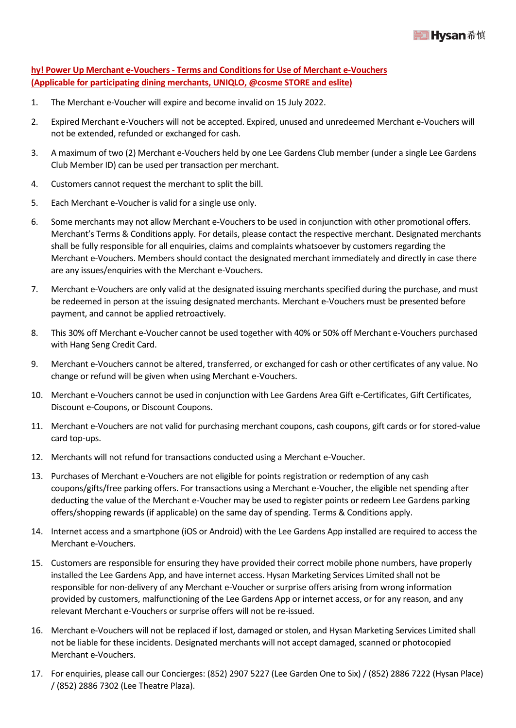**hy! Power Up Merchant e-Vouchers - Terms and Conditions for Use of Merchant e-Vouchers (Applicable for participating dining merchants, UNIQLO, @cosme STORE and eslite)**

- 1. The Merchant e-Voucher will expire and become invalid on 15 July 2022.
- 2. Expired Merchant e-Vouchers will not be accepted. Expired, unused and unredeemed Merchant e-Vouchers will not be extended, refunded or exchanged for cash.
- 3. A maximum of two (2) Merchant e-Vouchers held by one Lee Gardens Club member (under a single Lee Gardens Club Member ID) can be used per transaction per merchant.
- 4. Customers cannot request the merchant to split the bill.
- 5. Each Merchant e-Voucher is valid for a single use only.
- 6. Some merchants may not allow Merchant e-Vouchers to be used in conjunction with other promotional offers. Merchant's Terms & Conditions apply. For details, please contact the respective merchant. Designated merchants shall be fully responsible for all enquiries, claims and complaints whatsoever by customers regarding the Merchant e-Vouchers. Members should contact the designated merchant immediately and directly in case there are any issues/enquiries with the Merchant e-Vouchers.
- 7. Merchant e-Vouchers are only valid at the designated issuing merchants specified during the purchase, and must be redeemed in person at the issuing designated merchants. Merchant e-Vouchers must be presented before payment, and cannot be applied retroactively.
- 8. This 30% off Merchant e-Voucher cannot be used together with 40% or 50% off Merchant e-Vouchers purchased with Hang Seng Credit Card.
- 9. Merchant e-Vouchers cannot be altered, transferred, or exchanged for cash or other certificates of any value. No change or refund will be given when using Merchant e-Vouchers.
- 10. Merchant e-Vouchers cannot be used in conjunction with Lee Gardens Area Gift e-Certificates, Gift Certificates, Discount e-Coupons, or Discount Coupons.
- 11. Merchant e-Vouchers are not valid for purchasing merchant coupons, cash coupons, gift cards or for stored-value card top-ups.
- 12. Merchants will not refund for transactions conducted using a Merchant e-Voucher.
- 13. Purchases of Merchant e-Vouchers are not eligible for points registration or redemption of any cash coupons/gifts/free parking offers. For transactions using a Merchant e-Voucher, the eligible net spending after deducting the value of the Merchant e-Voucher may be used to register points or redeem Lee Gardens parking offers/shopping rewards (if applicable) on the same day of spending. Terms & Conditions apply.
- 14. Internet access and a smartphone (iOS or Android) with the Lee Gardens App installed are required to access the Merchant e-Vouchers.
- 15. Customers are responsible for ensuring they have provided their correct mobile phone numbers, have properly installed the Lee Gardens App, and have internet access. Hysan Marketing Services Limited shall not be responsible for non-delivery of any Merchant e-Voucher or surprise offers arising from wrong information provided by customers, malfunctioning of the Lee Gardens App or internet access, or for any reason, and any relevant Merchant e-Vouchers or surprise offers will not be re-issued.
- 16. Merchant e-Vouchers will not be replaced if lost, damaged or stolen, and Hysan Marketing Services Limited shall not be liable for these incidents. Designated merchants will not accept damaged, scanned or photocopied Merchant e-Vouchers.
- 17. For enquiries, please call our Concierges: (852) 2907 5227 (Lee Garden One to Six) / (852) 2886 7222 (Hysan Place) / (852) 2886 7302 (Lee Theatre Plaza).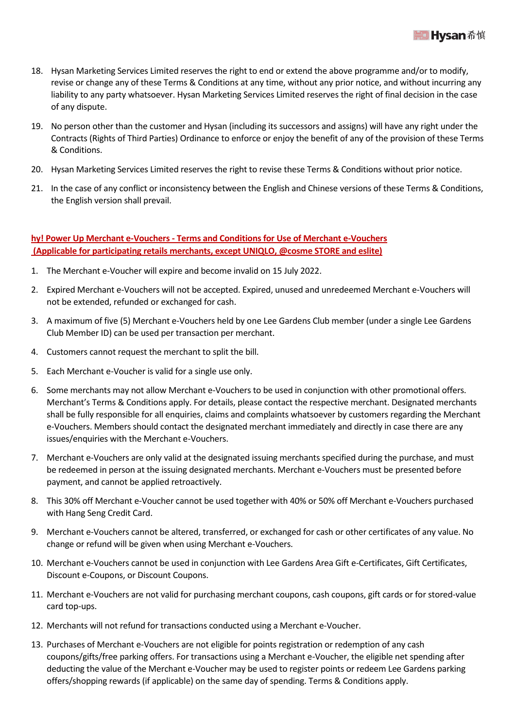

- 18. Hysan Marketing Services Limited reserves the right to end or extend the above programme and/or to modify, revise or change any of these Terms & Conditions at any time, without any prior notice, and without incurring any liability to any party whatsoever. Hysan Marketing Services Limited reserves the right of final decision in the case of any dispute.
- 19. No person other than the customer and Hysan (including its successors and assigns) will have any right under the Contracts (Rights of Third Parties) Ordinance to enforce or enjoy the benefit of any of the provision of these Terms & Conditions.
- 20. Hysan Marketing Services Limited reserves the right to revise these Terms & Conditions without prior notice.
- 21. In the case of any conflict or inconsistency between the English and Chinese versions of these Terms & Conditions, the English version shall prevail.

## **hy! Power Up Merchant e-Vouchers - Terms and Conditions for Use of Merchant e-Vouchers (Applicable for participating retails merchants, except UNIQLO, @cosme STORE and eslite)**

- 1. The Merchant e-Voucher will expire and become invalid on 15 July 2022.
- 2. Expired Merchant e-Vouchers will not be accepted. Expired, unused and unredeemed Merchant e-Vouchers will not be extended, refunded or exchanged for cash.
- 3. A maximum of five (5) Merchant e-Vouchers held by one Lee Gardens Club member (under a single Lee Gardens Club Member ID) can be used per transaction per merchant.
- 4. Customers cannot request the merchant to split the bill.
- 5. Each Merchant e-Voucher is valid for a single use only.
- 6. Some merchants may not allow Merchant e-Vouchers to be used in conjunction with other promotional offers. Merchant's Terms & Conditions apply. For details, please contact the respective merchant. Designated merchants shall be fully responsible for all enquiries, claims and complaints whatsoever by customers regarding the Merchant e-Vouchers. Members should contact the designated merchant immediately and directly in case there are any issues/enquiries with the Merchant e-Vouchers.
- 7. Merchant e-Vouchers are only valid at the designated issuing merchants specified during the purchase, and must be redeemed in person at the issuing designated merchants. Merchant e-Vouchers must be presented before payment, and cannot be applied retroactively.
- 8. This 30% off Merchant e-Voucher cannot be used together with 40% or 50% off Merchant e-Vouchers purchased with Hang Seng Credit Card.
- 9. Merchant e-Vouchers cannot be altered, transferred, or exchanged for cash or other certificates of any value. No change or refund will be given when using Merchant e-Vouchers.
- 10. Merchant e-Vouchers cannot be used in conjunction with Lee Gardens Area Gift e-Certificates, Gift Certificates, Discount e-Coupons, or Discount Coupons.
- 11. Merchant e-Vouchers are not valid for purchasing merchant coupons, cash coupons, gift cards or for stored-value card top-ups.
- 12. Merchants will not refund for transactions conducted using a Merchant e-Voucher.
- 13. Purchases of Merchant e-Vouchers are not eligible for points registration or redemption of any cash coupons/gifts/free parking offers. For transactions using a Merchant e-Voucher, the eligible net spending after deducting the value of the Merchant e-Voucher may be used to register points or redeem Lee Gardens parking offers/shopping rewards (if applicable) on the same day of spending. Terms & Conditions apply.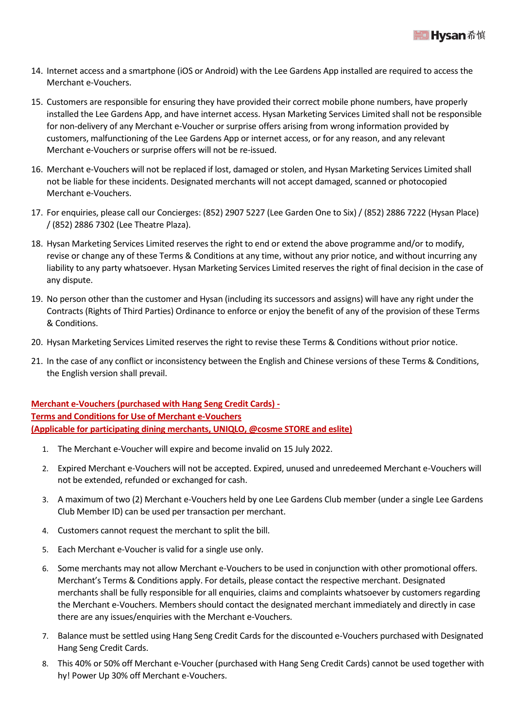

- 14. Internet access and a smartphone (iOS or Android) with the Lee Gardens App installed are required to access the Merchant e-Vouchers.
- 15. Customers are responsible for ensuring they have provided their correct mobile phone numbers, have properly installed the Lee Gardens App, and have internet access. Hysan Marketing Services Limited shall not be responsible for non-delivery of any Merchant e-Voucher or surprise offers arising from wrong information provided by customers, malfunctioning of the Lee Gardens App or internet access, or for any reason, and any relevant Merchant e-Vouchers or surprise offers will not be re-issued.
- 16. Merchant e-Vouchers will not be replaced if lost, damaged or stolen, and Hysan Marketing Services Limited shall not be liable for these incidents. Designated merchants will not accept damaged, scanned or photocopied Merchant e-Vouchers.
- 17. For enquiries, please call our Concierges: (852) 2907 5227 (Lee Garden One to Six) / (852) 2886 7222 (Hysan Place) / (852) 2886 7302 (Lee Theatre Plaza).
- 18. Hysan Marketing Services Limited reserves the right to end or extend the above programme and/or to modify, revise or change any of these Terms & Conditions at any time, without any prior notice, and without incurring any liability to any party whatsoever. Hysan Marketing Services Limited reserves the right of final decision in the case of any dispute.
- 19. No person other than the customer and Hysan (including its successors and assigns) will have any right under the Contracts (Rights of Third Parties) Ordinance to enforce or enjoy the benefit of any of the provision of these Terms & Conditions.
- 20. Hysan Marketing Services Limited reserves the right to revise these Terms & Conditions without prior notice.
- 21. In the case of any conflict or inconsistency between the English and Chinese versions of these Terms & Conditions, the English version shall prevail.

## **Merchant e-Vouchers (purchased with Hang Seng Credit Cards) - Terms and Conditions for Use of Merchant e-Vouchers (Applicable for participating dining merchants, UNIQLO, @cosme STORE and eslite)**

- 1. The Merchant e-Voucher will expire and become invalid on 15 July 2022.
- 2. Expired Merchant e-Vouchers will not be accepted. Expired, unused and unredeemed Merchant e-Vouchers will not be extended, refunded or exchanged for cash.
- 3. A maximum of two (2) Merchant e-Vouchers held by one Lee Gardens Club member (under a single Lee Gardens Club Member ID) can be used per transaction per merchant.
- 4. Customers cannot request the merchant to split the bill.
- 5. Each Merchant e-Voucher is valid for a single use only.
- 6. Some merchants may not allow Merchant e-Vouchers to be used in conjunction with other promotional offers. Merchant's Terms & Conditions apply. For details, please contact the respective merchant. Designated merchants shall be fully responsible for all enquiries, claims and complaints whatsoever by customers regarding the Merchant e-Vouchers. Members should contact the designated merchant immediately and directly in case there are any issues/enquiries with the Merchant e-Vouchers.
- 7. Balance must be settled using Hang Seng Credit Cards for the discounted e-Vouchers purchased with Designated Hang Seng Credit Cards.
- 8. This 40% or 50% off Merchant e-Voucher (purchased with Hang Seng Credit Cards) cannot be used together with hy! Power Up 30% off Merchant e-Vouchers.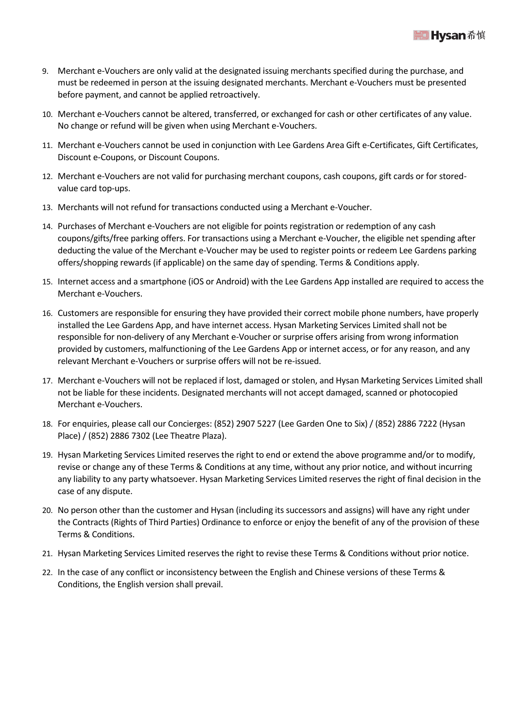

- 9. Merchant e-Vouchers are only valid at the designated issuing merchants specified during the purchase, and must be redeemed in person at the issuing designated merchants. Merchant e-Vouchers must be presented before payment, and cannot be applied retroactively.
- 10. Merchant e-Vouchers cannot be altered, transferred, or exchanged for cash or other certificates of any value. No change or refund will be given when using Merchant e-Vouchers.
- 11. Merchant e-Vouchers cannot be used in conjunction with Lee Gardens Area Gift e-Certificates, Gift Certificates, Discount e-Coupons, or Discount Coupons.
- 12. Merchant e-Vouchers are not valid for purchasing merchant coupons, cash coupons, gift cards or for storedvalue card top-ups.
- 13. Merchants will not refund for transactions conducted using a Merchant e-Voucher.
- 14. Purchases of Merchant e-Vouchers are not eligible for points registration or redemption of any cash coupons/gifts/free parking offers. For transactions using a Merchant e-Voucher, the eligible net spending after deducting the value of the Merchant e-Voucher may be used to register points or redeem Lee Gardens parking offers/shopping rewards (if applicable) on the same day of spending. Terms & Conditions apply.
- 15. Internet access and a smartphone (iOS or Android) with the Lee Gardens App installed are required to access the Merchant e-Vouchers.
- 16. Customers are responsible for ensuring they have provided their correct mobile phone numbers, have properly installed the Lee Gardens App, and have internet access. Hysan Marketing Services Limited shall not be responsible for non-delivery of any Merchant e-Voucher or surprise offers arising from wrong information provided by customers, malfunctioning of the Lee Gardens App or internet access, or for any reason, and any relevant Merchant e-Vouchers or surprise offers will not be re-issued.
- 17. Merchant e-Vouchers will not be replaced if lost, damaged or stolen, and Hysan Marketing Services Limited shall not be liable for these incidents. Designated merchants will not accept damaged, scanned or photocopied Merchant e-Vouchers.
- 18. For enquiries, please call our Concierges: (852) 2907 5227 (Lee Garden One to Six) / (852) 2886 7222 (Hysan Place) / (852) 2886 7302 (Lee Theatre Plaza).
- 19. Hysan Marketing Services Limited reserves the right to end or extend the above programme and/or to modify, revise or change any of these Terms & Conditions at any time, without any prior notice, and without incurring any liability to any party whatsoever. Hysan Marketing Services Limited reserves the right of final decision in the case of any dispute.
- 20. No person other than the customer and Hysan (including its successors and assigns) will have any right under the Contracts (Rights of Third Parties) Ordinance to enforce or enjoy the benefit of any of the provision of these Terms & Conditions.
- 21. Hysan Marketing Services Limited reserves the right to revise these Terms & Conditions without prior notice.
- 22. In the case of any conflict or inconsistency between the English and Chinese versions of these Terms & Conditions, the English version shall prevail.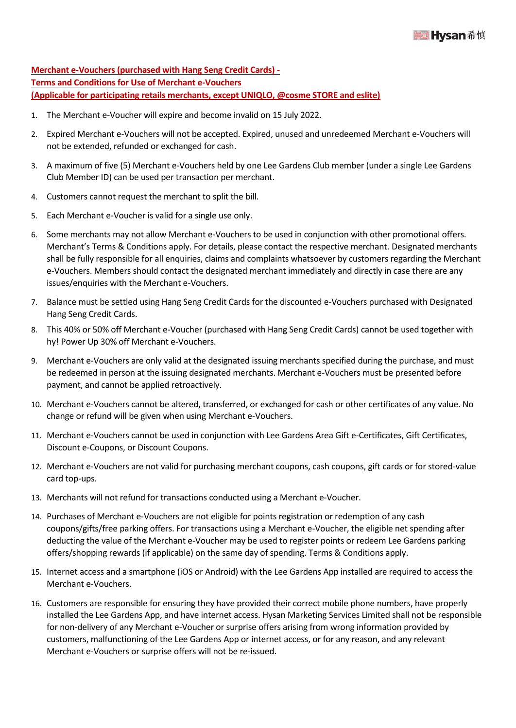**Merchant e-Vouchers (purchased with Hang Seng Credit Cards) - Terms and Conditions for Use of Merchant e-Vouchers (Applicable for participating retails merchants, except UNIQLO, @cosme STORE and eslite)**

- 1. The Merchant e-Voucher will expire and become invalid on 15 July 2022.
- 2. Expired Merchant e-Vouchers will not be accepted. Expired, unused and unredeemed Merchant e-Vouchers will not be extended, refunded or exchanged for cash.
- 3. A maximum of five (5) Merchant e-Vouchers held by one Lee Gardens Club member (under a single Lee Gardens Club Member ID) can be used per transaction per merchant.
- 4. Customers cannot request the merchant to split the bill.
- 5. Each Merchant e-Voucher is valid for a single use only.
- 6. Some merchants may not allow Merchant e-Vouchers to be used in conjunction with other promotional offers. Merchant's Terms & Conditions apply. For details, please contact the respective merchant. Designated merchants shall be fully responsible for all enquiries, claims and complaints whatsoever by customers regarding the Merchant e-Vouchers. Members should contact the designated merchant immediately and directly in case there are any issues/enquiries with the Merchant e-Vouchers.
- 7. Balance must be settled using Hang Seng Credit Cards for the discounted e-Vouchers purchased with Designated Hang Seng Credit Cards.
- 8. This 40% or 50% off Merchant e-Voucher (purchased with Hang Seng Credit Cards) cannot be used together with hy! Power Up 30% off Merchant e-Vouchers.
- 9. Merchant e-Vouchers are only valid at the designated issuing merchants specified during the purchase, and must be redeemed in person at the issuing designated merchants. Merchant e-Vouchers must be presented before payment, and cannot be applied retroactively.
- 10. Merchant e-Vouchers cannot be altered, transferred, or exchanged for cash or other certificates of any value. No change or refund will be given when using Merchant e-Vouchers.
- 11. Merchant e-Vouchers cannot be used in conjunction with Lee Gardens Area Gift e-Certificates, Gift Certificates, Discount e-Coupons, or Discount Coupons.
- 12. Merchant e-Vouchers are not valid for purchasing merchant coupons, cash coupons, gift cards or for stored-value card top-ups.
- 13. Merchants will not refund for transactions conducted using a Merchant e-Voucher.
- 14. Purchases of Merchant e-Vouchers are not eligible for points registration or redemption of any cash coupons/gifts/free parking offers. For transactions using a Merchant e-Voucher, the eligible net spending after deducting the value of the Merchant e-Voucher may be used to register points or redeem Lee Gardens parking offers/shopping rewards (if applicable) on the same day of spending. Terms & Conditions apply.
- 15. Internet access and a smartphone (iOS or Android) with the Lee Gardens App installed are required to access the Merchant e-Vouchers.
- 16. Customers are responsible for ensuring they have provided their correct mobile phone numbers, have properly installed the Lee Gardens App, and have internet access. Hysan Marketing Services Limited shall not be responsible for non-delivery of any Merchant e-Voucher or surprise offers arising from wrong information provided by customers, malfunctioning of the Lee Gardens App or internet access, or for any reason, and any relevant Merchant e-Vouchers or surprise offers will not be re-issued.